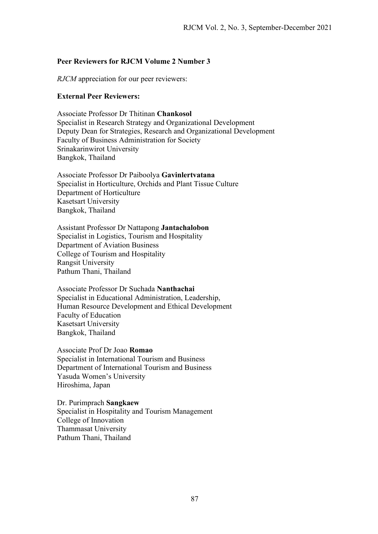## **Peer Reviewers for RJCM Volume 2 Number 3**

*RJCM* appreciation for our peer reviewers:

## **External Peer Reviewers:**

Associate Professor Dr Thitinan **Chankosol** Specialist in Research Strategy and Organizational Development Deputy Dean for Strategies, Research and Organizational Development Faculty of Business Administration for Society Srinakarinwirot University Bangkok, Thailand

Associate Professor Dr Paiboolya **Gavinlertvatana**  Specialist in Horticulture, Orchids and Plant Tissue Culture Department of Horticulture Kasetsart University Bangkok, Thailand

Assistant Professor Dr Nattapong **Jantachalobon** Specialist in Logistics, Tourism and Hospitality Department of Aviation Business College of Tourism and Hospitality Rangsit University Pathum Thani, Thailand

Associate Professor Dr Suchada **Nanthachai** Specialist in Educational Administration, Leadership, Human Resource Development and Ethical Development Faculty of Education Kasetsart University Bangkok, Thailand

Associate Prof Dr Joao **Romao** Specialist in International Tourism and Business Department of International Tourism and Business Yasuda Women's University Hiroshima, Japan

Dr. Purimprach **Sangkaew**  Specialist in Hospitality and Tourism Management College of Innovation Thammasat University Pathum Thani, Thailand